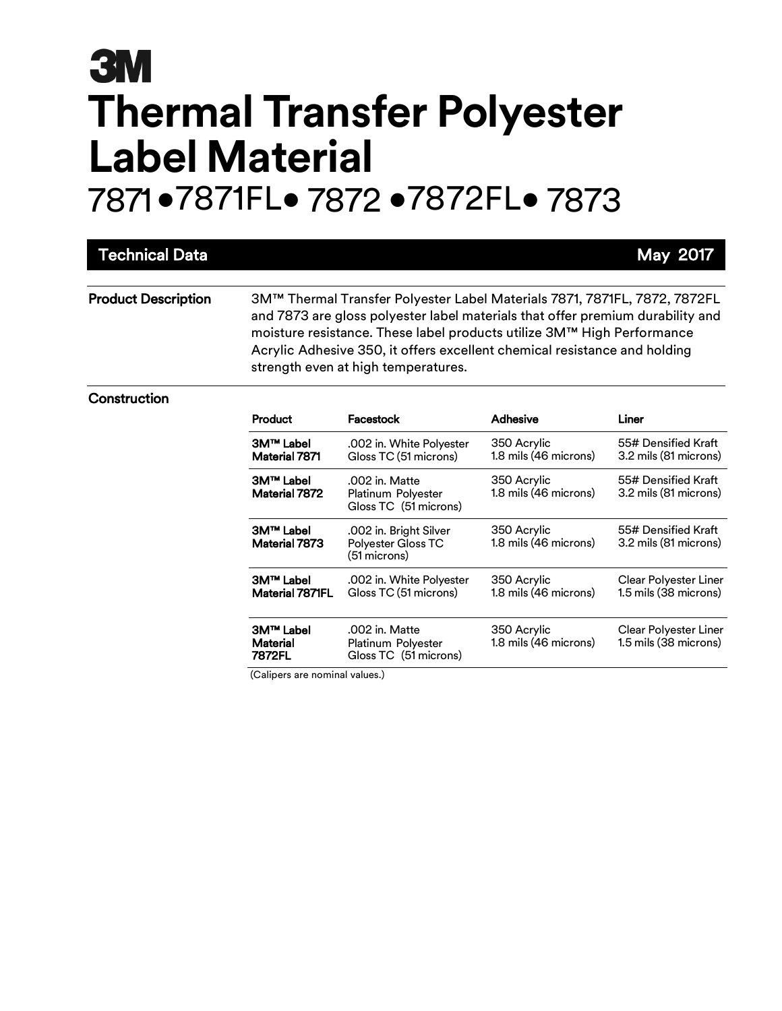|                                                                                                                                                                                                                                                                                                                                                           |                                                               |                                      | May 2017                                       |  |
|-----------------------------------------------------------------------------------------------------------------------------------------------------------------------------------------------------------------------------------------------------------------------------------------------------------------------------------------------------------|---------------------------------------------------------------|--------------------------------------|------------------------------------------------|--|
| 3M™ Thermal Transfer Polyester Label Materials 7871, 7871FL, 7872, 7872FL<br>and 7873 are gloss polyester label materials that offer premium durability and<br>moisture resistance. These label products utilize 3M™ High Performance<br>Acrylic Adhesive 350, it offers excellent chemical resistance and holding<br>strength even at high temperatures. |                                                               |                                      |                                                |  |
| Product                                                                                                                                                                                                                                                                                                                                                   | Facestock                                                     | <b>Adhesive</b>                      | Liner                                          |  |
| <b>3M™ Label</b><br>Material 7871                                                                                                                                                                                                                                                                                                                         | .002 in. White Polyester<br>Gloss TC (51 microns)             | 350 Acrylic<br>1.8 mils (46 microns) | 55# Densified Kraft<br>3.2 mils (81 microns)   |  |
| 3M™ Label<br>Material 7872                                                                                                                                                                                                                                                                                                                                | .002 in. Matte<br>Platinum Polyester<br>Gloss TC (51 microns) | 350 Acrylic<br>1.8 mils (46 microns) | 55# Densified Kraft<br>3.2 mils (81 microns)   |  |
| <b>3M™ Label</b><br>Material 7873                                                                                                                                                                                                                                                                                                                         | .002 in. Bright Silver<br>Polyester Gloss TC<br>(51 microns)  | 350 Acrylic<br>1.8 mils (46 microns) | 55# Densified Kraft<br>3.2 mils (81 microns)   |  |
| 3M™ Label<br>Material 7871FL                                                                                                                                                                                                                                                                                                                              | .002 in. White Polyester<br>Gloss TC (51 microns)             | 350 Acrylic<br>1.8 mils (46 microns) | Clear Polyester Liner<br>1.5 mils (38 microns) |  |
| <b>3M™ Label</b><br>Material<br>7872FL                                                                                                                                                                                                                                                                                                                    | .002 in. Matte<br>Platinum Polyester<br>Gloss TC (51 microns) | 350 Acrylic<br>1.8 mils (46 microns) | Clear Polyester Liner<br>1.5 mils (38 microns) |  |
|                                                                                                                                                                                                                                                                                                                                                           |                                                               |                                      |                                                |  |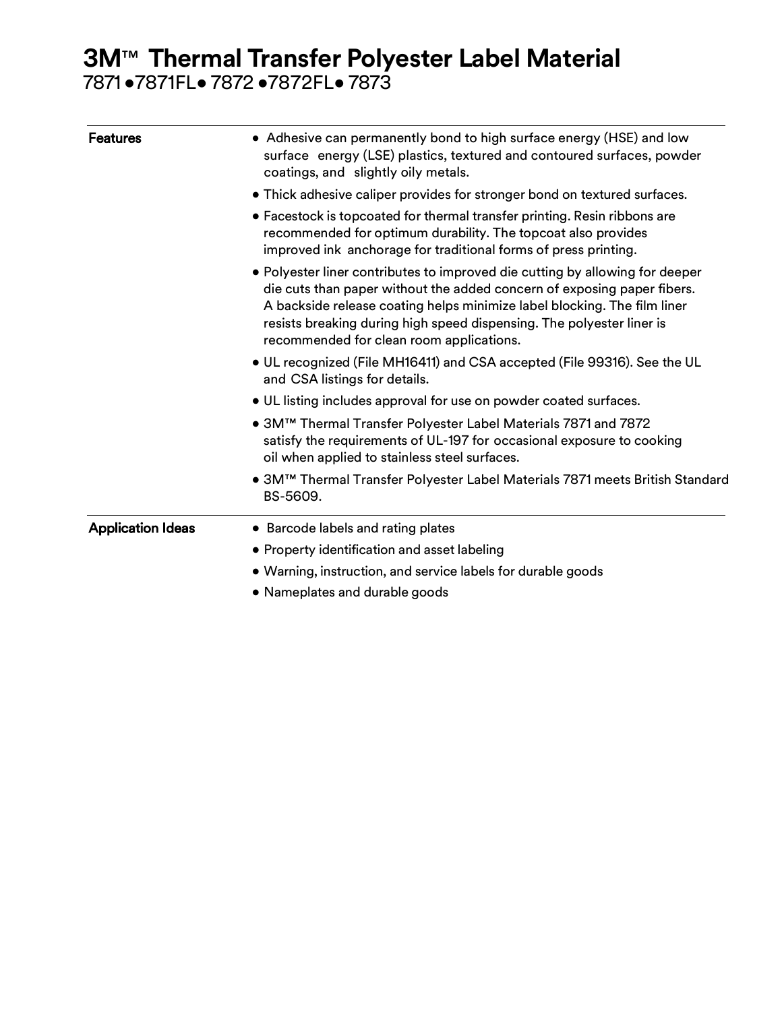| <b>Features</b>          | • Adhesive can permanently bond to high surface energy (HSE) and low<br>surface energy (LSE) plastics, textured and contoured surfaces, powder<br>coatings, and slightly oily metals.<br>• Thick adhesive caliper provides for stronger bond on textured surfaces.<br>• Facestock is topcoated for thermal transfer printing. Resin ribbons are<br>recommended for optimum durability. The topcoat also provides<br>improved ink anchorage for traditional forms of press printing. |                                                                                                                                                                                          |  |  |  |  |  |                                                                                                                                                                                                                                                                                                                                                                                                                                                                                                                                            |  |  |  |  |  |
|--------------------------|-------------------------------------------------------------------------------------------------------------------------------------------------------------------------------------------------------------------------------------------------------------------------------------------------------------------------------------------------------------------------------------------------------------------------------------------------------------------------------------|------------------------------------------------------------------------------------------------------------------------------------------------------------------------------------------|--|--|--|--|--|--------------------------------------------------------------------------------------------------------------------------------------------------------------------------------------------------------------------------------------------------------------------------------------------------------------------------------------------------------------------------------------------------------------------------------------------------------------------------------------------------------------------------------------------|--|--|--|--|--|
|                          |                                                                                                                                                                                                                                                                                                                                                                                                                                                                                     |                                                                                                                                                                                          |  |  |  |  |  | • Polyester liner contributes to improved die cutting by allowing for deeper<br>die cuts than paper without the added concern of exposing paper fibers.<br>A backside release coating helps minimize label blocking. The film liner<br>resists breaking during high speed dispensing. The polyester liner is<br>recommended for clean room applications.<br>. UL recognized (File MH16411) and CSA accepted (File 99316). See the UL<br>and CSA listings for details.<br>• UL listing includes approval for use on powder coated surfaces. |  |  |  |  |  |
|                          |                                                                                                                                                                                                                                                                                                                                                                                                                                                                                     |                                                                                                                                                                                          |  |  |  |  |  |                                                                                                                                                                                                                                                                                                                                                                                                                                                                                                                                            |  |  |  |  |  |
|                          |                                                                                                                                                                                                                                                                                                                                                                                                                                                                                     | ● 3M™ Thermal Transfer Polyester Label Materials 7871 and 7872<br>satisfy the requirements of UL-197 for occasional exposure to cooking<br>oil when applied to stainless steel surfaces. |  |  |  |  |  |                                                                                                                                                                                                                                                                                                                                                                                                                                                                                                                                            |  |  |  |  |  |
|                          |                                                                                                                                                                                                                                                                                                                                                                                                                                                                                     | ● 3M™ Thermal Transfer Polyester Label Materials 7871 meets British Standard<br>BS-5609.                                                                                                 |  |  |  |  |  |                                                                                                                                                                                                                                                                                                                                                                                                                                                                                                                                            |  |  |  |  |  |
| <b>Application Ideas</b> | • Barcode labels and rating plates                                                                                                                                                                                                                                                                                                                                                                                                                                                  |                                                                                                                                                                                          |  |  |  |  |  |                                                                                                                                                                                                                                                                                                                                                                                                                                                                                                                                            |  |  |  |  |  |
|                          | • Property identification and asset labeling                                                                                                                                                                                                                                                                                                                                                                                                                                        |                                                                                                                                                                                          |  |  |  |  |  |                                                                                                                                                                                                                                                                                                                                                                                                                                                                                                                                            |  |  |  |  |  |
|                          | • Warning, instruction, and service labels for durable goods                                                                                                                                                                                                                                                                                                                                                                                                                        |                                                                                                                                                                                          |  |  |  |  |  |                                                                                                                                                                                                                                                                                                                                                                                                                                                                                                                                            |  |  |  |  |  |
|                          | • Nameplates and durable goods                                                                                                                                                                                                                                                                                                                                                                                                                                                      |                                                                                                                                                                                          |  |  |  |  |  |                                                                                                                                                                                                                                                                                                                                                                                                                                                                                                                                            |  |  |  |  |  |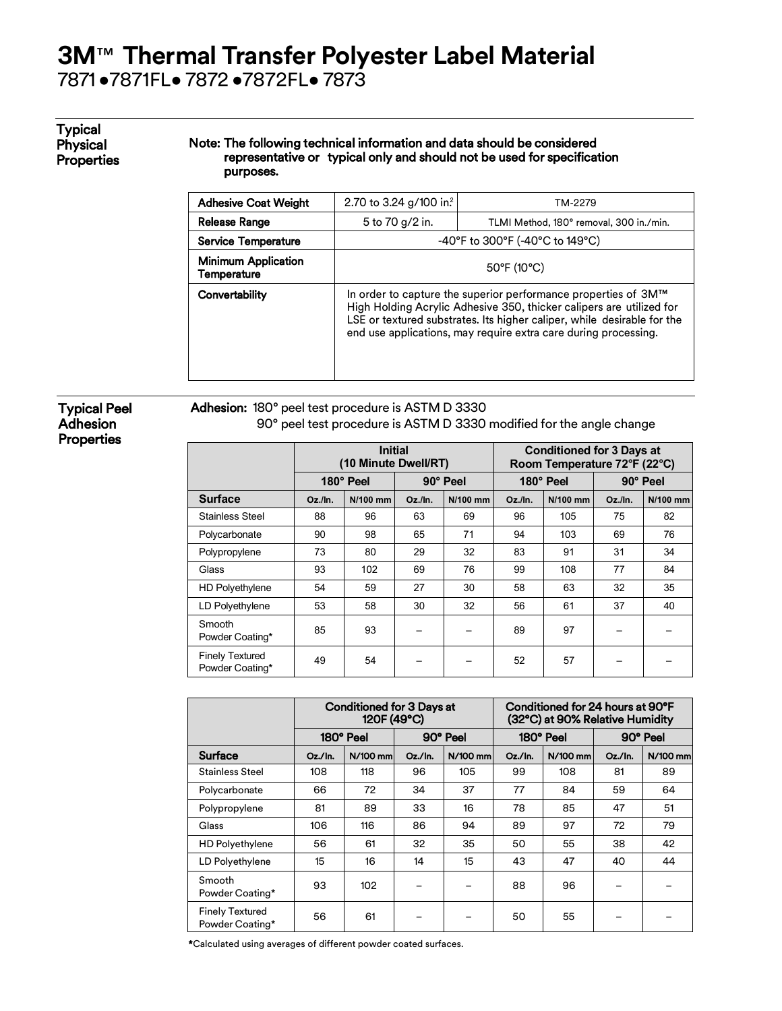# **3M**™ **Thermal Transfer Polyester Label Material**

7871 •7871FL• 7872 •7872FL• 7873

#### Typical Physical **Properties**

#### Note: The following technical information and data should be considered representative or typical only and should not be used for specification purposes.

| <b>Adhesive Coat Weight</b>               | 2.70 to 3.24 g/100 in?<br>TM-2279                                                                                                                                                                                                                                                    |  |  |  |
|-------------------------------------------|--------------------------------------------------------------------------------------------------------------------------------------------------------------------------------------------------------------------------------------------------------------------------------------|--|--|--|
| <b>Release Range</b>                      | 5 to 70 g/2 in.<br>TLMI Method, 180° removal, 300 in./min.                                                                                                                                                                                                                           |  |  |  |
| <b>Service Temperature</b>                | $-40^{\circ}$ F to 300°F (-40°C to 149°C)                                                                                                                                                                                                                                            |  |  |  |
| <b>Minimum Application</b><br>Temperature | $50^{\circ}$ F (10 $^{\circ}$ C)                                                                                                                                                                                                                                                     |  |  |  |
| Convertability                            | In order to capture the superior performance properties of 3M™<br>High Holding Acrylic Adhesive 350, thicker calipers are utilized for<br>LSE or textured substrates. Its higher caliper, while desirable for the<br>end use applications, may require extra care during processing. |  |  |  |

#### Typical Peel **Adhesion Properties**

Adhesion: 180° peel test procedure is ASTM D 3330 90° peel test procedure is ASTM D 3330 modified for the angle change

|                                           | <b>Initial</b><br>(10 Minute Dwell/RT) |                       |         |           | <b>Conditioned for 3 Days at</b><br>Room Temperature 72°F (22°C) |          |            |          |
|-------------------------------------------|----------------------------------------|-----------------------|---------|-----------|------------------------------------------------------------------|----------|------------|----------|
|                                           |                                        | 90° Peel<br>180° Peel |         | 180° Peel |                                                                  | 90° Peel |            |          |
| <b>Surface</b>                            | $Oz$ ./In.                             | N/100 mm              | Oz./In. | N/100 mm  | $Oz$ ./In.                                                       | N/100 mm | $Oz$ ./In. | N/100 mm |
| <b>Stainless Steel</b>                    | 88                                     | 96                    | 63      | 69        | 96                                                               | 105      | 75         | 82       |
| Polycarbonate                             | 90                                     | 98                    | 65      | 71        | 94                                                               | 103      | 69         | 76       |
| Polypropylene                             | 73                                     | 80                    | 29      | 32        | 83                                                               | 91       | 31         | 34       |
| Glass                                     | 93                                     | 102                   | 69      | 76        | 99                                                               | 108      | 77         | 84       |
| <b>HD Polyethylene</b>                    | 54                                     | 59                    | 27      | 30        | 58                                                               | 63       | 32         | 35       |
| LD Polyethylene                           | 53                                     | 58                    | 30      | 32        | 56                                                               | 61       | 37         | 40       |
| Smooth<br>Powder Coating*                 | 85                                     | 93                    |         |           | 89                                                               | 97       |            |          |
| <b>Finely Textured</b><br>Powder Coating* | 49                                     | 54                    |         |           | 52                                                               | 57       |            |          |

|                                           | <b>Conditioned for 3 Days at</b><br>120F (49°C) |          |            | Conditioned for 24 hours at 90°F<br>(32°C) at 90% Relative Humidity |            |          |         |          |
|-------------------------------------------|-------------------------------------------------|----------|------------|---------------------------------------------------------------------|------------|----------|---------|----------|
|                                           | 180° Peel<br>90° Peel                           |          | 180° Peel  |                                                                     | 90° Peel   |          |         |          |
| <b>Surface</b>                            | $Oz$ ./In.                                      | N/100 mm | $Oz$ ./In. | N/100 mm                                                            | $Oz$ ./In. | N/100 mm | Oz./In. | N/100 mm |
| <b>Stainless Steel</b>                    | 108                                             | 118      | 96         | 105                                                                 | 99         | 108      | 81      | 89       |
| Polycarbonate                             | 66                                              | 72       | 34         | 37                                                                  | 77         | 84       | 59      | 64       |
| Polypropylene                             | 81                                              | 89       | 33         | 16                                                                  | 78         | 85       | 47      | 51       |
| Glass                                     | 106                                             | 116      | 86         | 94                                                                  | 89         | 97       | 72      | 79       |
| <b>HD Polyethylene</b>                    | 56                                              | 61       | 32         | 35                                                                  | 50         | 55       | 38      | 42       |
| LD Polyethylene                           | 15                                              | 16       | 14         | 15                                                                  | 43         | 47       | 40      | 44       |
| Smooth<br>Powder Coating*                 | 93                                              | 102      |            |                                                                     | 88         | 96       |         |          |
| <b>Finely Textured</b><br>Powder Coating* | 56                                              | 61       |            |                                                                     | 50         | 55       |         |          |

\*Calculated using averages of different powder coated surfaces.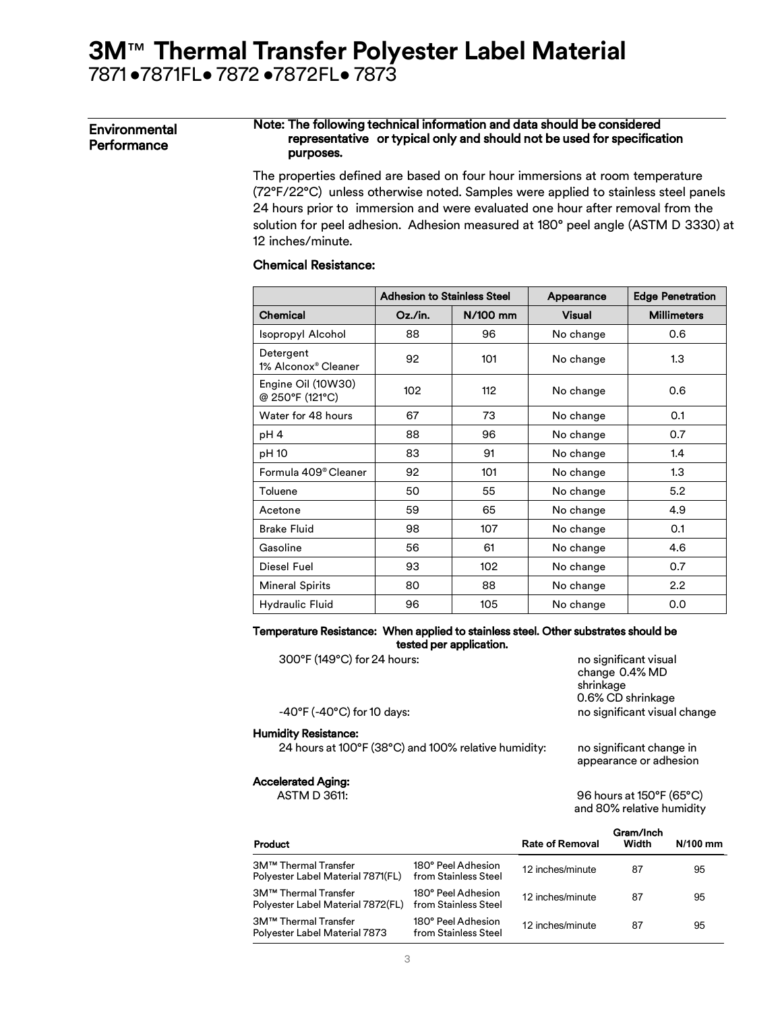#### Environmental **Performance**

#### Note: The following technical information and data should be considered representative or typical only and should not be used for specification purposes.

The properties defined are based on four hour immersions at room temperature (72°F/22°C) unless otherwise noted. Samples were applied to stainless steel panels 24 hours prior to immersion and were evaluated one hour after removal from the solution for peel adhesion. Adhesion measured at 180° peel angle (ASTM D 3330) at 12 inches/minute.

#### Chemical Resistance:

|                                              | <b>Adhesion to Stainless Steel</b> |          | Appearance    | <b>Edge Penetration</b> |  |
|----------------------------------------------|------------------------------------|----------|---------------|-------------------------|--|
| <b>Chemical</b>                              | $Oz$ ./in.                         | N/100 mm | <b>Visual</b> | <b>Millimeters</b>      |  |
| Isopropyl Alcohol                            | 88                                 | 96       | No change     | 0.6                     |  |
| Detergent<br>1% Alconox <sup>®</sup> Cleaner | 92                                 | 101      | No change     | 1.3                     |  |
| Engine Oil (10W30)<br>@ 250°F (121°C)        | 102                                | 112      | No change     | 0.6                     |  |
| Water for 48 hours                           | 67                                 | 73       | No change     | 0.1                     |  |
| pH 4                                         | 88                                 | 96       | No change     | 0.7                     |  |
| pH 10                                        | 83                                 | 91       | No change     | 1.4                     |  |
| Formula 409 <sup>®</sup> Cleaner             | 92                                 | 101      | No change     | 1.3                     |  |
| Toluene                                      | 50                                 | 55       | No change     | 5.2                     |  |
| Acetone                                      | 59                                 | 65       | No change     | 4.9                     |  |
| <b>Brake Fluid</b>                           | 98                                 | 107      | No change     | 0.1                     |  |
| Gasoline                                     | 56                                 | 61       | No change     | 4.6                     |  |
| Diesel Fuel                                  | 93                                 | 102      | No change     | 0.7                     |  |
| <b>Mineral Spirits</b>                       | 80                                 | 88       | No change     | $2.2\phantom{0}$        |  |
| Hydraulic Fluid                              | 96                                 | 105      | No change     | 0.0                     |  |

#### Temperature Resistance: When applied to stainless steel. Other substrates should be tested per application.

| 300°F (149°C) for 24 hours:                          | no significant visual<br>change 0.4% MD<br>shrinkage<br>0.6% CD shrinkage |
|------------------------------------------------------|---------------------------------------------------------------------------|
| $-40^{\circ}$ F ( $-40^{\circ}$ C) for 10 days:      | no significant visual change                                              |
| <b>Humidity Resistance:</b>                          |                                                                           |
| 24 hours at 100°F (38°C) and 100% relative humidity: | no significant change in<br>appearance or adhesion                        |
| Accelerated Aging:                                   |                                                                           |
| <b>ASTM D 3611:</b>                                  | 96 hours at 150°F (65°C)                                                  |

and 80% relative humidity

| Product                                                   |                                            | <b>Rate of Removal</b> | Gram/Inch<br>Width | $N/100$ mm |
|-----------------------------------------------------------|--------------------------------------------|------------------------|--------------------|------------|
| 3M™ Thermal Transfer<br>Polyester Label Material 7871(FL) | 180° Peel Adhesion<br>from Stainless Steel | 12 inches/minute       | 87                 | 95         |
| 3M™ Thermal Transfer<br>Polyester Label Material 7872(FL) | 180° Peel Adhesion<br>from Stainless Steel | 12 inches/minute       | 87                 | 95         |
| 3M™ Thermal Transfer<br>Polyester Label Material 7873     | 180° Peel Adhesion<br>from Stainless Steel | 12 inches/minute       | 87                 | 95         |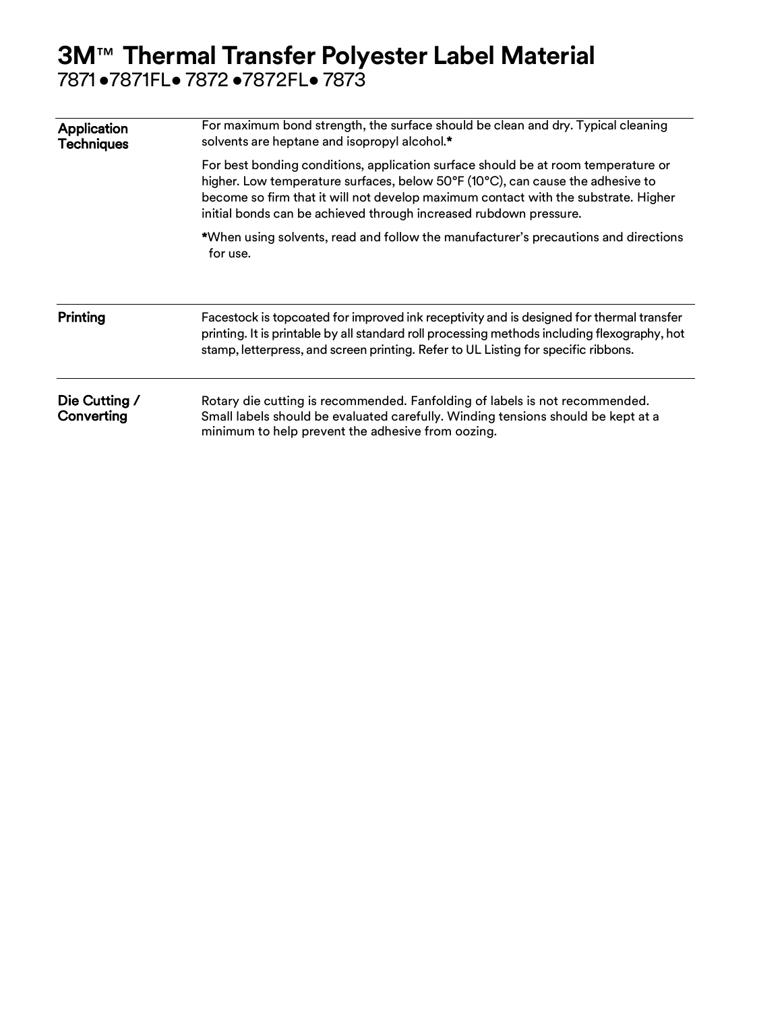| Application<br><b>Techniques</b> | For maximum bond strength, the surface should be clean and dry. Typical cleaning<br>solvents are heptane and isopropyl alcohol.*                                                                                                                                                                                               |  |  |  |  |  |  |
|----------------------------------|--------------------------------------------------------------------------------------------------------------------------------------------------------------------------------------------------------------------------------------------------------------------------------------------------------------------------------|--|--|--|--|--|--|
|                                  | For best bonding conditions, application surface should be at room temperature or<br>higher. Low temperature surfaces, below 50°F (10°C), can cause the adhesive to<br>become so firm that it will not develop maximum contact with the substrate. Higher<br>initial bonds can be achieved through increased rubdown pressure. |  |  |  |  |  |  |
|                                  | *When using solvents, read and follow the manufacturer's precautions and directions<br>for use.                                                                                                                                                                                                                                |  |  |  |  |  |  |
| Printing                         | Facestock is topcoated for improved ink receptivity and is designed for thermal transfer<br>printing. It is printable by all standard roll processing methods including flexography, hot<br>stamp, letterpress, and screen printing. Refer to UL Listing for specific ribbons.                                                 |  |  |  |  |  |  |
| Die Cutting /<br>Converting      | Rotary die cutting is recommended. Fanfolding of labels is not recommended.<br>Small labels should be evaluated carefully. Winding tensions should be kept at a<br>minimum to help prevent the adhesive from oozing.                                                                                                           |  |  |  |  |  |  |